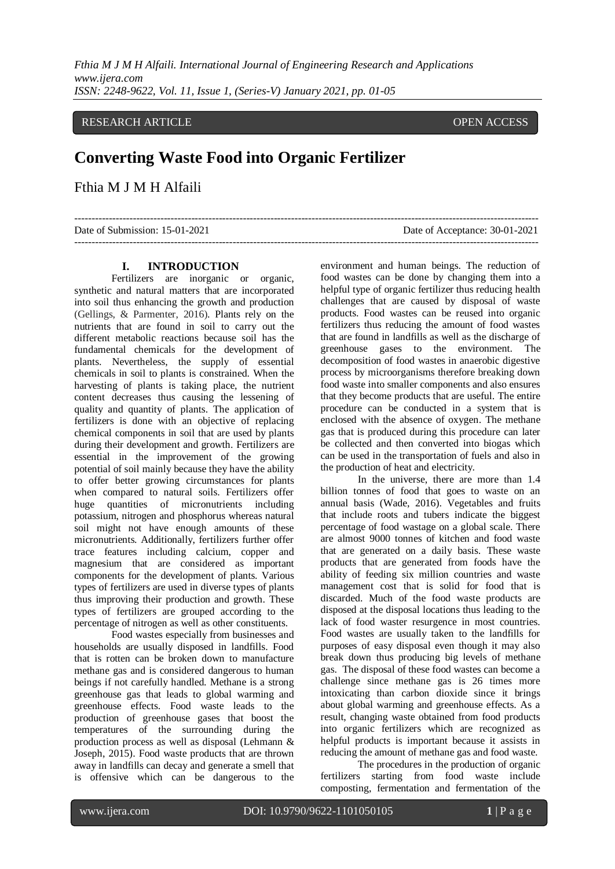### RESEARCH ARTICLE OPEN ACCESS

# **Converting Waste Food into Organic Fertilizer**

## Fthia M J M H Alfaili

| Date of Submission: 15-01-2021 | Date of Acceptance: 30-01-2021 |
|--------------------------------|--------------------------------|
|                                |                                |

#### **I. INTRODUCTION**

Fertilizers are inorganic or organic, synthetic and natural matters that are incorporated into soil thus enhancing the growth and production (Gellings, & Parmenter, 2016). Plants rely on the nutrients that are found in soil to carry out the different metabolic reactions because soil has the fundamental chemicals for the development of plants. Nevertheless, the supply of essential chemicals in soil to plants is constrained. When the harvesting of plants is taking place, the nutrient content decreases thus causing the lessening of quality and quantity of plants. The application of fertilizers is done with an objective of replacing chemical components in soil that are used by plants during their development and growth. Fertilizers are essential in the improvement of the growing potential of soil mainly because they have the ability to offer better growing circumstances for plants when compared to natural soils. Fertilizers offer huge quantities of micronutrients including potassium, nitrogen and phosphorus whereas natural soil might not have enough amounts of these micronutrients. Additionally, fertilizers further offer trace features including calcium, copper and magnesium that are considered as important components for the development of plants. Various types of fertilizers are used in diverse types of plants thus improving their production and growth. These types of fertilizers are grouped according to the percentage of nitrogen as well as other constituents.

Food wastes especially from businesses and households are usually disposed in landfills. Food that is rotten can be broken down to manufacture methane gas and is considered dangerous to human beings if not carefully handled. Methane is a strong greenhouse gas that leads to global warming and greenhouse effects. Food waste leads to the production of greenhouse gases that boost the temperatures of the surrounding during the production process as well as disposal (Lehmann & Joseph, 2015). Food waste products that are thrown away in landfills can decay and generate a smell that is offensive which can be dangerous to the

environment and human beings. The reduction of food wastes can be done by changing them into a helpful type of organic fertilizer thus reducing health challenges that are caused by disposal of waste products. Food wastes can be reused into organic fertilizers thus reducing the amount of food wastes that are found in landfills as well as the discharge of greenhouse gases to the environment. The greenhouse gases to the environment. decomposition of food wastes in anaerobic digestive process by microorganisms therefore breaking down food waste into smaller components and also ensures that they become products that are useful. The entire procedure can be conducted in a system that is enclosed with the absence of oxygen. The methane gas that is produced during this procedure can later be collected and then converted into biogas which can be used in the transportation of fuels and also in the production of heat and electricity.

In the universe, there are more than 1.4 billion tonnes of food that goes to waste on an annual basis (Wade, 2016). Vegetables and fruits that include roots and tubers indicate the biggest percentage of food wastage on a global scale. There are almost 9000 tonnes of kitchen and food waste that are generated on a daily basis. These waste products that are generated from foods have the ability of feeding six million countries and waste management cost that is solid for food that is discarded. Much of the food waste products are disposed at the disposal locations thus leading to the lack of food waster resurgence in most countries. Food wastes are usually taken to the landfills for purposes of easy disposal even though it may also break down thus producing big levels of methane gas. The disposal of these food wastes can become a challenge since methane gas is 26 times more intoxicating than carbon dioxide since it brings about global warming and greenhouse effects. As a result, changing waste obtained from food products into organic fertilizers which are recognized as helpful products is important because it assists in reducing the amount of methane gas and food waste.

The procedures in the production of organic fertilizers starting from food waste include composting, fermentation and fermentation of the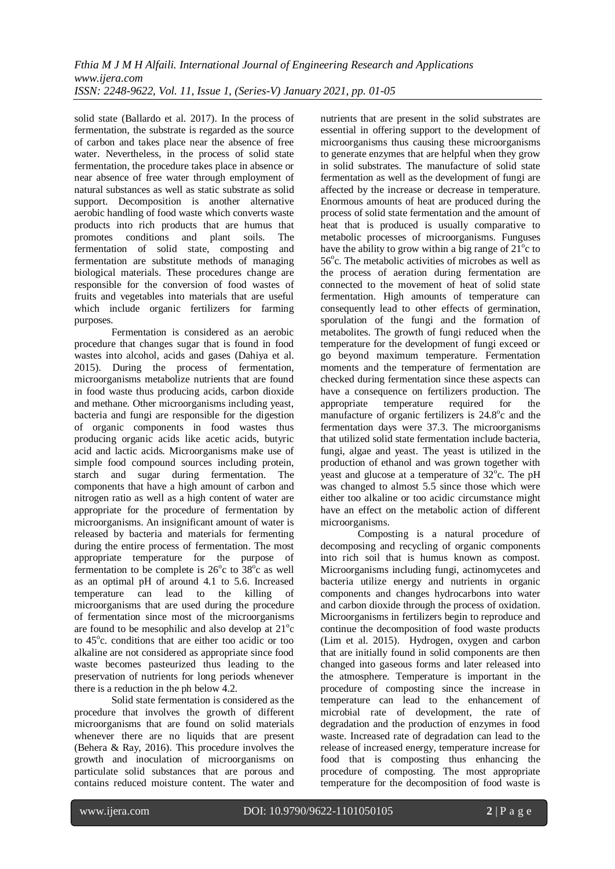solid state (Ballardo et al. 2017). In the process of fermentation, the substrate is regarded as the source of carbon and takes place near the absence of free water. Nevertheless, in the process of solid state fermentation, the procedure takes place in absence or near absence of free water through employment of natural substances as well as static substrate as solid support. Decomposition is another alternative aerobic handling of food waste which converts waste products into rich products that are humus that promotes conditions and plant soils. The fermentation of solid state, composting and fermentation are substitute methods of managing biological materials. These procedures change are responsible for the conversion of food wastes of fruits and vegetables into materials that are useful which include organic fertilizers for farming purposes.

Fermentation is considered as an aerobic procedure that changes sugar that is found in food wastes into alcohol, acids and gases (Dahiya et al. 2015). During the process of fermentation, microorganisms metabolize nutrients that are found in food waste thus producing acids, carbon dioxide and methane. Other microorganisms including yeast, bacteria and fungi are responsible for the digestion of organic components in food wastes thus producing organic acids like acetic acids, butyric acid and lactic acids. Microorganisms make use of simple food compound sources including protein, starch and sugar during fermentation. The components that have a high amount of carbon and nitrogen ratio as well as a high content of water are appropriate for the procedure of fermentation by microorganisms. An insignificant amount of water is released by bacteria and materials for fermenting during the entire process of fermentation. The most appropriate temperature for the purpose of fermentation to be complete is  $26^{\circ}c$  to  $38^{\circ}c$  as well as an optimal pH of around 4.1 to 5.6. Increased temperature can lead to the killing of microorganisms that are used during the procedure of fermentation since most of the microorganisms are found to be mesophilic and also develop at  $21^{\circ}$ c to 45°c. conditions that are either too acidic or too alkaline are not considered as appropriate since food waste becomes pasteurized thus leading to the preservation of nutrients for long periods whenever there is a reduction in the ph below 4.2.

Solid state fermentation is considered as the procedure that involves the growth of different microorganisms that are found on solid materials whenever there are no liquids that are present (Behera & Ray, 2016). This procedure involves the growth and inoculation of microorganisms on particulate solid substances that are porous and contains reduced moisture content. The water and

nutrients that are present in the solid substrates are essential in offering support to the development of microorganisms thus causing these microorganisms to generate enzymes that are helpful when they grow in solid substrates. The manufacture of solid state fermentation as well as the development of fungi are affected by the increase or decrease in temperature. Enormous amounts of heat are produced during the process of solid state fermentation and the amount of heat that is produced is usually comparative to metabolic processes of microorganisms. Funguses have the ability to grow within a big range of  $21^{\circ}$ c to 56°c. The metabolic activities of microbes as well as the process of aeration during fermentation are connected to the movement of heat of solid state fermentation. High amounts of temperature can consequently lead to other effects of germination, sporulation of the fungi and the formation of metabolites. The growth of fungi reduced when the temperature for the development of fungi exceed or go beyond maximum temperature. Fermentation moments and the temperature of fermentation are checked during fermentation since these aspects can have a consequence on fertilizers production. The appropriate temperature required for the manufacture of organic fertilizers is  $24.8^{\circ}$ c and the fermentation days were 37.3. The microorganisms that utilized solid state fermentation include bacteria, fungi, algae and yeast. The yeast is utilized in the production of ethanol and was grown together with yeast and glucose at a temperature of  $32^{\circ}$ c. The pH was changed to almost 5.5 since those which were either too alkaline or too acidic circumstance might have an effect on the metabolic action of different microorganisms.

Composting is a natural procedure of decomposing and recycling of organic components into rich soil that is humus known as compost. Microorganisms including fungi, actinomycetes and bacteria utilize energy and nutrients in organic components and changes hydrocarbons into water and carbon dioxide through the process of oxidation. Microorganisms in fertilizers begin to reproduce and continue the decomposition of food waste products (Lim et al. 2015). Hydrogen, oxygen and carbon that are initially found in solid components are then changed into gaseous forms and later released into the atmosphere. Temperature is important in the procedure of composting since the increase in temperature can lead to the enhancement of microbial rate of development, the rate of degradation and the production of enzymes in food waste. Increased rate of degradation can lead to the release of increased energy, temperature increase for food that is composting thus enhancing the procedure of composting. The most appropriate temperature for the decomposition of food waste is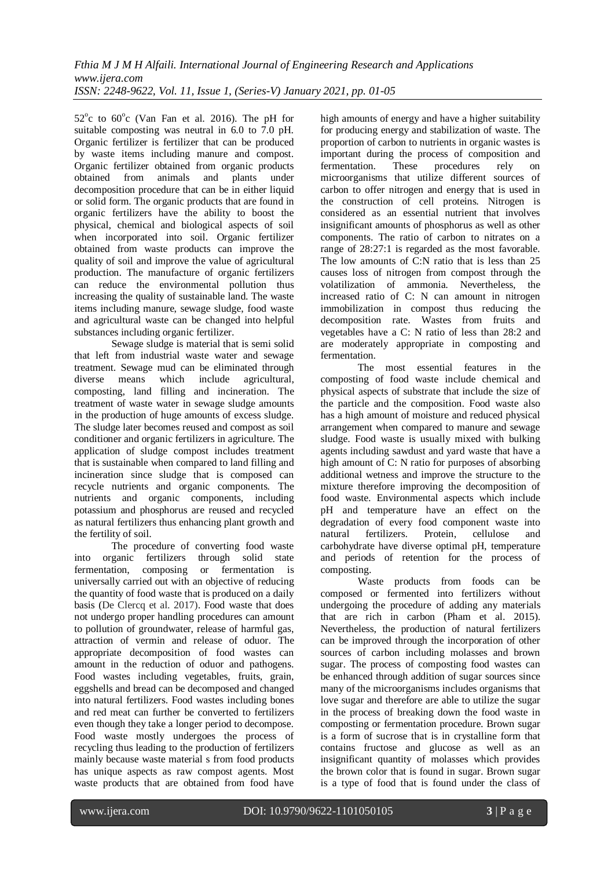$52^{\circ}$ c to  $60^{\circ}$ c (Van Fan et al. 2016). The pH for suitable composting was neutral in 6.0 to 7.0 pH. Organic fertilizer is fertilizer that can be produced by waste items including manure and compost. Organic fertilizer obtained from organic products obtained from animals and plants under decomposition procedure that can be in either liquid or solid form. The organic products that are found in organic fertilizers have the ability to boost the physical, chemical and biological aspects of soil when incorporated into soil. Organic fertilizer obtained from waste products can improve the quality of soil and improve the value of agricultural production. The manufacture of organic fertilizers can reduce the environmental pollution thus increasing the quality of sustainable land. The waste items including manure, sewage sludge, food waste and agricultural waste can be changed into helpful substances including organic fertilizer.

Sewage sludge is material that is semi solid that left from industrial waste water and sewage treatment. Sewage mud can be eliminated through diverse means which include agricultural, composting, land filling and incineration. The treatment of waste water in sewage sludge amounts in the production of huge amounts of excess sludge. The sludge later becomes reused and compost as soil conditioner and organic fertilizers in agriculture. The application of sludge compost includes treatment that is sustainable when compared to land filling and incineration since sludge that is composed can recycle nutrients and organic components. The nutrients and organic components, including potassium and phosphorus are reused and recycled as natural fertilizers thus enhancing plant growth and the fertility of soil.

The procedure of converting food waste into organic fertilizers through solid state fermentation, composing or fermentation is universally carried out with an objective of reducing the quantity of food waste that is produced on a daily basis (De Clercq et al. 2017). Food waste that does not undergo proper handling procedures can amount to pollution of groundwater, release of harmful gas, attraction of vermin and release of oduor. The appropriate decomposition of food wastes can amount in the reduction of oduor and pathogens. Food wastes including vegetables, fruits, grain, eggshells and bread can be decomposed and changed into natural fertilizers. Food wastes including bones and red meat can further be converted to fertilizers even though they take a longer period to decompose. Food waste mostly undergoes the process of recycling thus leading to the production of fertilizers mainly because waste material s from food products has unique aspects as raw compost agents. Most waste products that are obtained from food have

high amounts of energy and have a higher suitability for producing energy and stabilization of waste. The proportion of carbon to nutrients in organic wastes is important during the process of composition and fermentation. These procedures rely on microorganisms that utilize different sources of carbon to offer nitrogen and energy that is used in the construction of cell proteins. Nitrogen is considered as an essential nutrient that involves insignificant amounts of phosphorus as well as other components. The ratio of carbon to nitrates on a range of 28:27:1 is regarded as the most favorable. The low amounts of C:N ratio that is less than 25 causes loss of nitrogen from compost through the volatilization of ammonia. Nevertheless, the increased ratio of C: N can amount in nitrogen immobilization in compost thus reducing the decomposition rate. Wastes from fruits and vegetables have a C: N ratio of less than 28:2 and are moderately appropriate in composting and fermentation.

The most essential features in the composting of food waste include chemical and physical aspects of substrate that include the size of the particle and the composition. Food waste also has a high amount of moisture and reduced physical arrangement when compared to manure and sewage sludge. Food waste is usually mixed with bulking agents including sawdust and yard waste that have a high amount of C: N ratio for purposes of absorbing additional wetness and improve the structure to the mixture therefore improving the decomposition of food waste. Environmental aspects which include pH and temperature have an effect on the degradation of every food component waste into natural fertilizers. Protein, cellulose and carbohydrate have diverse optimal pH, temperature and periods of retention for the process of composting.

Waste products from foods can be composed or fermented into fertilizers without undergoing the procedure of adding any materials that are rich in carbon (Pham et al. 2015). Nevertheless, the production of natural fertilizers can be improved through the incorporation of other sources of carbon including molasses and brown sugar. The process of composting food wastes can be enhanced through addition of sugar sources since many of the microorganisms includes organisms that love sugar and therefore are able to utilize the sugar in the process of breaking down the food waste in composting or fermentation procedure. Brown sugar is a form of sucrose that is in crystalline form that contains fructose and glucose as well as an insignificant quantity of molasses which provides the brown color that is found in sugar. Brown sugar is a type of food that is found under the class of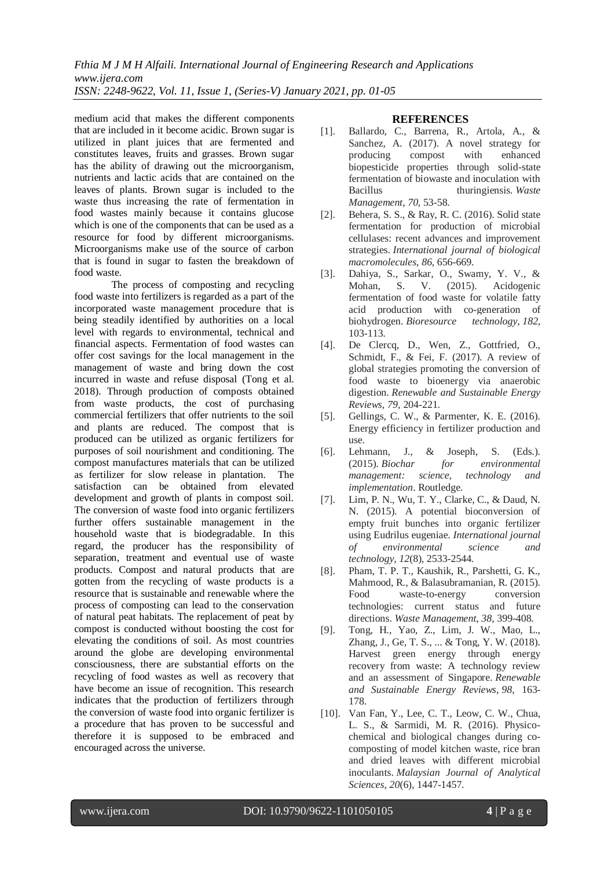*Fthia M J M H Alfaili. International Journal of Engineering Research and Applications www.ijera.com ISSN: 2248-9622, Vol. 11, Issue 1, (Series-V) January 2021, pp. 01-05*

medium acid that makes the different components that are included in it become acidic. Brown sugar is utilized in plant juices that are fermented and constitutes leaves, fruits and grasses. Brown sugar has the ability of drawing out the microorganism, nutrients and lactic acids that are contained on the leaves of plants. Brown sugar is included to the waste thus increasing the rate of fermentation in food wastes mainly because it contains glucose which is one of the components that can be used as a resource for food by different microorganisms. Microorganisms make use of the source of carbon that is found in sugar to fasten the breakdown of food waste.

The process of composting and recycling food waste into fertilizers is regarded as a part of the incorporated waste management procedure that is being steadily identified by authorities on a local level with regards to environmental, technical and financial aspects. Fermentation of food wastes can offer cost savings for the local management in the management of waste and bring down the cost incurred in waste and refuse disposal (Tong et al. 2018). Through production of composts obtained from waste products, the cost of purchasing commercial fertilizers that offer nutrients to the soil and plants are reduced. The compost that is produced can be utilized as organic fertilizers for purposes of soil nourishment and conditioning. The compost manufactures materials that can be utilized as fertilizer for slow release in plantation. The satisfaction can be obtained from elevated development and growth of plants in compost soil. The conversion of waste food into organic fertilizers further offers sustainable management in the household waste that is biodegradable. In this regard, the producer has the responsibility of separation, treatment and eventual use of waste products. Compost and natural products that are gotten from the recycling of waste products is a resource that is sustainable and renewable where the process of composting can lead to the conservation of natural peat habitats. The replacement of peat by compost is conducted without boosting the cost for elevating the conditions of soil. As most countries around the globe are developing environmental consciousness, there are substantial efforts on the recycling of food wastes as well as recovery that have become an issue of recognition. This research indicates that the production of fertilizers through the conversion of waste food into organic fertilizer is a procedure that has proven to be successful and therefore it is supposed to be embraced and encouraged across the universe.

### **REFERENCES**

- [1]. Ballardo, C., Barrena, R., Artola, A., & Sanchez, A. (2017). A novel strategy for producing compost with enhanced biopesticide properties through solid-state fermentation of biowaste and inoculation with Bacillus thuringiensis. *Waste Management*, *70*, 53-58.
- [2]. Behera, S. S., & Ray, R. C. (2016). Solid state fermentation for production of microbial cellulases: recent advances and improvement strategies. *International journal of biological macromolecules*, *86*, 656-669.
- [3]. Dahiya, S., Sarkar, O., Swamy, Y. V., & Mohan, S. V. (2015). Acidogenic fermentation of food waste for volatile fatty acid production with co-generation of biohydrogen. *Bioresource technology*, *182*, 103-113.
- [4]. De Clercq, D., Wen, Z., Gottfried, O., Schmidt, F., & Fei, F. (2017). A review of global strategies promoting the conversion of food waste to bioenergy via anaerobic digestion. *Renewable and Sustainable Energy Reviews*, *79*, 204-221.
- [5]. Gellings, C. W., & Parmenter, K. E. (2016). Energy efficiency in fertilizer production and use.
- [6]. Lehmann, J., & Joseph, S. (Eds.). (2015). *Biochar for environmental management: science, technology and implementation*. Routledge.
- [7]. Lim, P. N., Wu, T. Y., Clarke, C., & Daud, N. N. (2015). A potential bioconversion of empty fruit bunches into organic fertilizer using Eudrilus eugeniae. *International journal of environmental science and technology*, *12*(8), 2533-2544.
- [8]. Pham, T. P. T., Kaushik, R., Parshetti, G. K., Mahmood, R., & Balasubramanian, R. (2015). Food waste-to-energy conversion technologies: current status and future directions. *Waste Management*, *38*, 399-408.
- [9]. Tong, H., Yao, Z., Lim, J. W., Mao, L., Zhang, J., Ge, T. S., ... & Tong, Y. W. (2018). Harvest green energy through energy recovery from waste: A technology review and an assessment of Singapore. *Renewable and Sustainable Energy Reviews*, *98*, 163- 178.
- [10]. Van Fan, Y., Lee, C. T., Leow, C. W., Chua, L. S., & Sarmidi, M. R. (2016). Physicochemical and biological changes during cocomposting of model kitchen waste, rice bran and dried leaves with different microbial inoculants. *Malaysian Journal of Analytical Sciences*, *20*(6), 1447-1457.